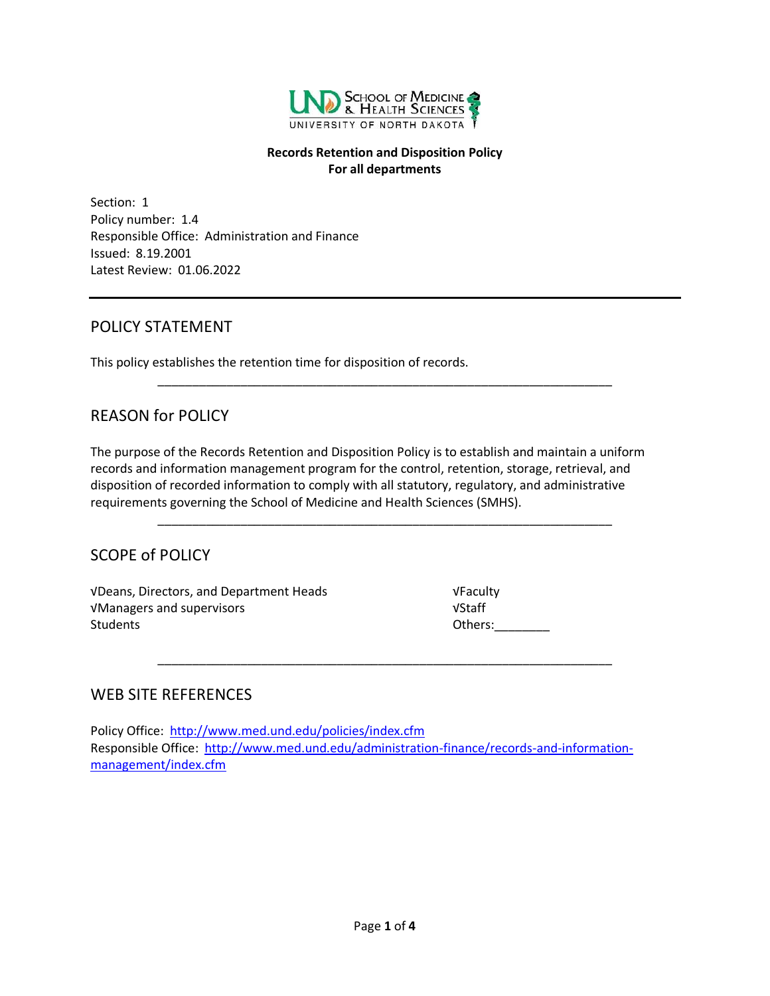

#### **Records Retention and Disposition Policy For all departments**

Section: 1 Policy number: 1.4 Responsible Office: Administration and Finance Issued: 8.19.2001 Latest Review: 01.06.2022

# POLICY STATEMENT

This policy establishes the retention time for disposition of records.

# REASON for POLICY

The purpose of the Records Retention and Disposition Policy is to establish and maintain a uniform records and information management program for the control, retention, storage, retrieval, and disposition of recorded information to comply with all statutory, regulatory, and administrative requirements governing the School of Medicine and Health Sciences (SMHS).

\_\_\_\_\_\_\_\_\_\_\_\_\_\_\_\_\_\_\_\_\_\_\_\_\_\_\_\_\_\_\_\_\_\_\_\_\_\_\_\_\_\_\_\_\_\_\_\_\_\_\_\_\_\_\_\_\_\_\_\_\_\_\_\_\_\_

\_\_\_\_\_\_\_\_\_\_\_\_\_\_\_\_\_\_\_\_\_\_\_\_\_\_\_\_\_\_\_\_\_\_\_\_\_\_\_\_\_\_\_\_\_\_\_\_\_\_\_\_\_\_\_\_\_\_\_\_\_\_\_\_\_\_

\_\_\_\_\_\_\_\_\_\_\_\_\_\_\_\_\_\_\_\_\_\_\_\_\_\_\_\_\_\_\_\_\_\_\_\_\_\_\_\_\_\_\_\_\_\_\_\_\_\_\_\_\_\_\_\_\_\_\_\_\_\_\_\_\_\_

# SCOPE of POLICY

√Deans, Directors, and Department Heads √Faculty √Managers and supervisors √Staff Students **Others:** 

# WEB SITE REFERENCES

Policy Office: <http://www.med.und.edu/policies/index.cfm> Responsible Office: [http://www.med.und.edu/administration-finance/records-and-information](http://www.med.und.edu/administration-finance/records-and-information-management/index.cfm)[management/index.cfm](http://www.med.und.edu/administration-finance/records-and-information-management/index.cfm)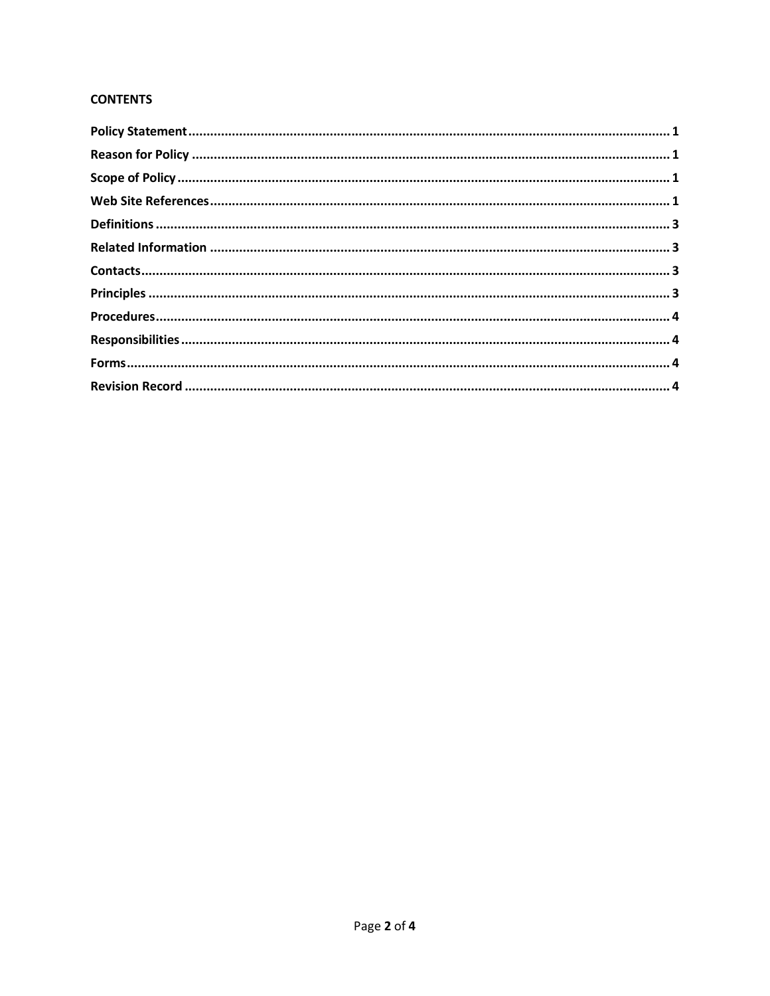### **CONTENTS**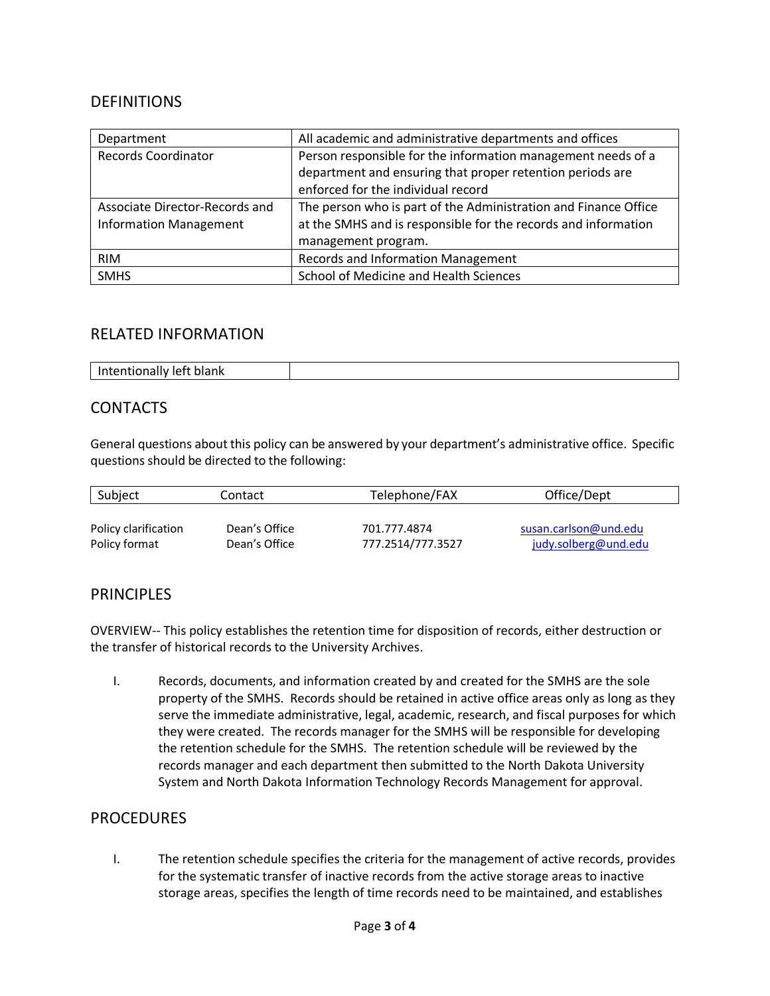## DEFINITIONS

| Department                     | All academic and administrative departments and offices         |  |
|--------------------------------|-----------------------------------------------------------------|--|
| <b>Records Coordinator</b>     | Person responsible for the information management needs of a    |  |
|                                | department and ensuring that proper retention periods are       |  |
|                                | enforced for the individual record                              |  |
| Associate Director-Records and | The person who is part of the Administration and Finance Office |  |
| <b>Information Management</b>  | at the SMHS and is responsible for the records and information  |  |
|                                | management program.                                             |  |
| <b>RIM</b>                     | <b>Records and Information Management</b>                       |  |
| <b>SMHS</b>                    | School of Medicine and Health Sciences                          |  |

### RELATED INFORMATION

| н.<br>יו ו<br>.<br>.<br>___ |  |
|-----------------------------|--|
|-----------------------------|--|

# **CONTACTS**

General questions about this policy can be answered by your department's administrative office. Specific questions should be directed to the following:

| Subject              | Contact       | Telephone/FAX     | Office/Dept           |
|----------------------|---------------|-------------------|-----------------------|
| Policy clarification | Dean's Office | 701.777.4874      | susan.carlson@und.edu |
| Policy format        | Dean's Office | 777.2514/777.3527 | judy.solberg@und.edu  |

### **PRINCIPLES**

OVERVIEW-- This policy establishes the retention time for disposition of records, either destruction or the transfer of historical records to the University Archives.

I. Records, documents, and information created by and created for the SMHS are the sole property of the SMHS. Records should be retained in active office areas only as long as they serve the immediate administrative, legal, academic, research, and fiscal purposes for which they were created. The records manager for the SMHS will be responsible for developing the retention schedule for the SMHS. The retention schedule will be reviewed by the records manager and each department then submitted to the North Dakota University System and North Dakota Information Technology Records Management for approval.

# PROCEDURES

I. The retention schedule specifies the criteria for the management of active records, provides for the systematic transfer of inactive records from the active storage areas to inactive storage areas, specifies the length of time records need to be maintained, and establishes